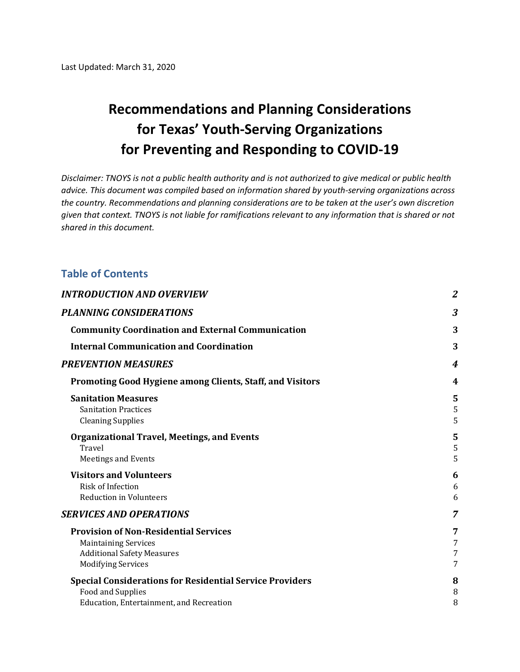### **Recommendations and Planning Considerations for Texas' Youth-Serving Organizations for Preventing and Responding to COVID-19**

*Disclaimer: TNOYS is not a public health authority and is not authorized to give medical or public health advice. This document was compiled based on information shared by youth-serving organizations across the country. Recommendations and planning considerations are to be taken at the user's own discretion given that context. TNOYS is not liable for ramifications relevant to any information that is shared or not shared in this document.* 

#### **Table of Contents**

| <b>INTRODUCTION AND OVERVIEW</b>                                                                                                              | $\overline{2}$   |
|-----------------------------------------------------------------------------------------------------------------------------------------------|------------------|
| <b>PLANNING CONSIDERATIONS</b>                                                                                                                | 3                |
| <b>Community Coordination and External Communication</b>                                                                                      | 3                |
| <b>Internal Communication and Coordination</b>                                                                                                | 3                |
| <b>PREVENTION MEASURES</b>                                                                                                                    | 4                |
| Promoting Good Hygiene among Clients, Staff, and Visitors                                                                                     | 4                |
| <b>Sanitation Measures</b><br><b>Sanitation Practices</b><br><b>Cleaning Supplies</b>                                                         | 5<br>5<br>5      |
| <b>Organizational Travel, Meetings, and Events</b><br>Travel<br><b>Meetings and Events</b>                                                    | 5<br>5<br>5      |
| <b>Visitors and Volunteers</b><br><b>Risk of Infection</b><br><b>Reduction in Volunteers</b>                                                  | 6<br>6<br>6      |
| <b>SERVICES AND OPERATIONS</b>                                                                                                                | 7                |
| <b>Provision of Non-Residential Services</b><br><b>Maintaining Services</b><br><b>Additional Safety Measures</b><br><b>Modifying Services</b> | 7<br>7<br>7<br>7 |
| <b>Special Considerations for Residential Service Providers</b><br><b>Food and Supplies</b><br>Education, Entertainment, and Recreation       | 8<br>8<br>8      |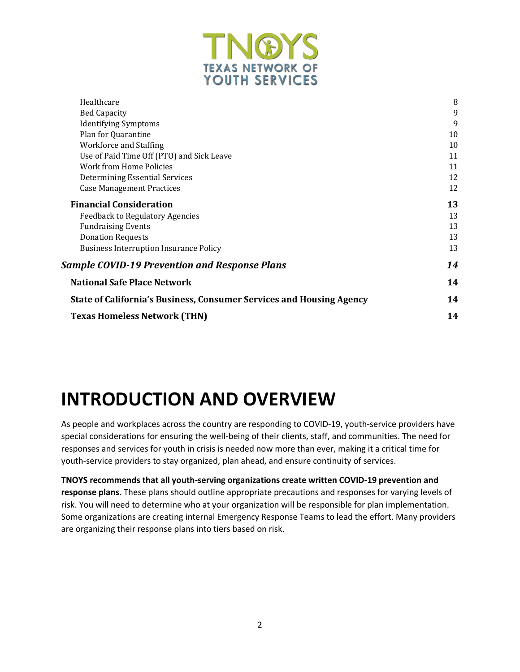

| Healthcare                                                           | 8  |
|----------------------------------------------------------------------|----|
| <b>Bed Capacity</b>                                                  | 9  |
| <b>Identifying Symptoms</b>                                          | 9  |
| Plan for Quarantine                                                  | 10 |
| Workforce and Staffing                                               | 10 |
| Use of Paid Time Off (PTO) and Sick Leave                            | 11 |
| Work from Home Policies                                              | 11 |
| Determining Essential Services                                       | 12 |
| <b>Case Management Practices</b>                                     | 12 |
| <b>Financial Consideration</b>                                       | 13 |
| <b>Feedback to Regulatory Agencies</b>                               | 13 |
| <b>Fundraising Events</b>                                            | 13 |
| <b>Donation Requests</b>                                             | 13 |
| <b>Business Interruption Insurance Policy</b>                        | 13 |
| <b>Sample COVID-19 Prevention and Response Plans</b>                 | 14 |
| <b>National Safe Place Network</b>                                   | 14 |
| State of California's Business, Consumer Services and Housing Agency | 14 |
| <b>Texas Homeless Network (THN)</b>                                  | 14 |

## **INTRODUCTION AND OVERVIEW**

As people and workplaces across the country are responding to COVID-19, youth-service providers have special considerations for ensuring the well-being of their clients, staff, and communities. The need for responses and services for youth in crisis is needed now more than ever, making it a critical time for youth-service providers to stay organized, plan ahead, and ensure continuity of services.

**TNOYS recommends that all youth-serving organizations create written COVID-19 prevention and response plans.** These plans should outline appropriate precautions and responses for varying levels of risk. You will need to determine who at your organization will be responsible for plan implementation. Some organizations are creating internal Emergency Response Teams to lead the effort. Many providers are organizing their response plans into tiers based on risk.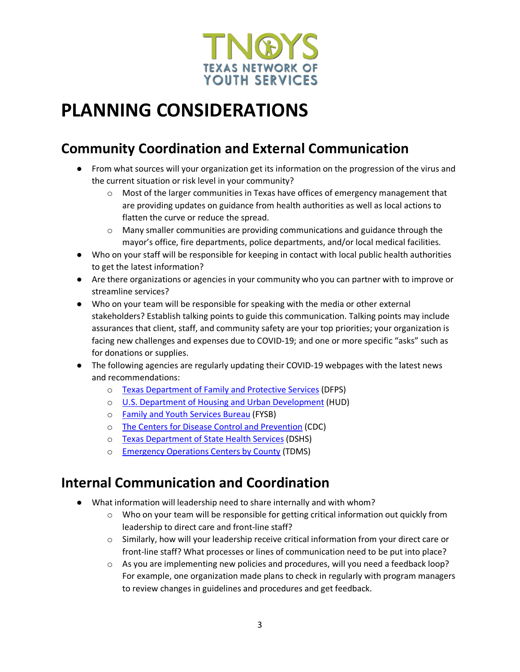

## **PLANNING CONSIDERATIONS**

### **Community Coordination and External Communication**

- From what sources will your organization get its information on the progression of the virus and the current situation or risk level in your community?
	- $\circ$  Most of the larger communities in Texas have offices of emergency management that are providing updates on guidance from health authorities as well as local actions to flatten the curve or reduce the spread.
	- $\circ$  Many smaller communities are providing communications and guidance through the mayor's office, fire departments, police departments, and/or local medical facilities.
- Who on your staff will be responsible for keeping in contact with local public health authorities to get the latest information?
- Are there organizations or agencies in your community who you can partner with to improve or streamline services?
- Who on your team will be responsible for speaking with the media or other external stakeholders? Establish talking points to guide this communication. Talking points may include assurances that client, staff, and community safety are your top priorities; your organization is facing new challenges and expenses due to COVID-19; and one or more specific "asks" such as for donations or supplies.
- The following agencies are regularly updating their COVID-19 webpages with the latest news and recommendations:
	- o Texas Department of Family and Protective Services (DFPS)
	- o U.S. Department of Housing and Urban Development (HUD)
	- o Family and Youth Services Bureau (FYSB)
	- o The Centers for Disease Control and Prevention (CDC)
	- o Texas Department of State Health Services (DSHS)
	- o Emergency Operations Centers by County (TDMS)

### **Internal Communication and Coordination**

- What information will leadership need to share internally and with whom?
	- $\circ$  Who on your team will be responsible for getting critical information out quickly from leadership to direct care and front-line staff?
	- $\circ$  Similarly, how will your leadership receive critical information from your direct care or front-line staff? What processes or lines of communication need to be put into place?
	- $\circ$  As you are implementing new policies and procedures, will you need a feedback loop? For example, one organization made plans to check in regularly with program managers to review changes in guidelines and procedures and get feedback.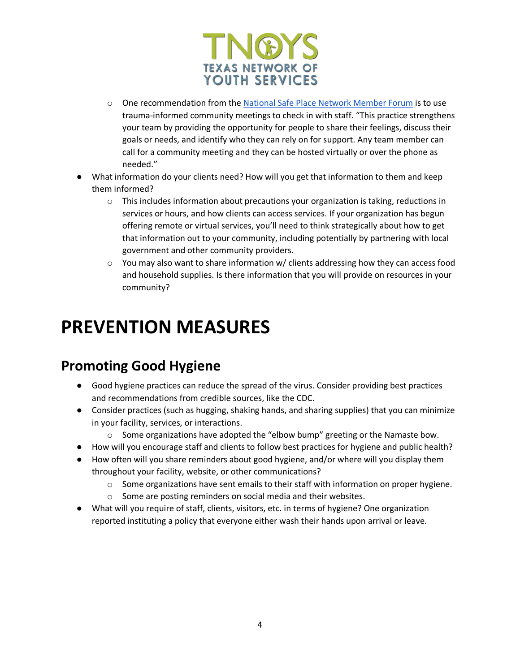

- o One recommendation from the National Safe Place Network Member Forum is to use trauma-informed community meetings to check in with staff. "This practice strengthens your team by providing the opportunity for people to share their feelings, discuss their goals or needs, and identify who they can rely on for support. Any team member can call for a community meeting and they can be hosted virtually or over the phone as needed."
- What information do your clients need? How will you get that information to them and keep them informed?
	- $\circ$  This includes information about precautions your organization is taking, reductions in services or hours, and how clients can access services. If your organization has begun offering remote or virtual services, you'll need to think strategically about how to get that information out to your community, including potentially by partnering with local government and other community providers.
	- $\circ$  You may also want to share information w/ clients addressing how they can access food and household supplies. Is there information that you will provide on resources in your community?

## **PREVENTION MEASURES**

### **Promoting Good Hygiene**

- Good hygiene practices can reduce the spread of the virus. Consider providing best practices and recommendations from credible sources, like the CDC.
- Consider practices (such as hugging, shaking hands, and sharing supplies) that you can minimize in your facility, services, or interactions.
	- $\circ$  Some organizations have adopted the "elbow bump" greeting or the Namaste bow.
- How will you encourage staff and clients to follow best practices for hygiene and public health?
- How often will you share reminders about good hygiene, and/or where will you display them throughout your facility, website, or other communications?
	- $\circ$  Some organizations have sent emails to their staff with information on proper hygiene.
	- o Some are posting reminders on social media and their websites.
- What will you require of staff, clients, visitors, etc. in terms of hygiene? One organization reported instituting a policy that everyone either wash their hands upon arrival or leave.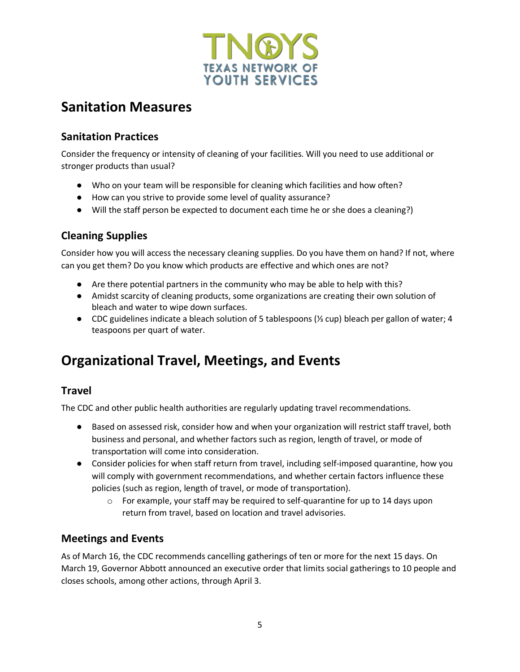

### **Sanitation Measures**

#### **Sanitation Practices**

Consider the frequency or intensity of cleaning of your facilities. Will you need to use additional or stronger products than usual?

- Who on your team will be responsible for cleaning which facilities and how often?
- How can you strive to provide some level of quality assurance?
- Will the staff person be expected to document each time he or she does a cleaning?)

#### **Cleaning Supplies**

Consider how you will access the necessary cleaning supplies. Do you have them on hand? If not, where can you get them? Do you know which products are effective and which ones are not?

- Are there potential partners in the community who may be able to help with this?
- Amidst scarcity of cleaning products, some organizations are creating their own solution of bleach and water to wipe down surfaces.
- CDC guidelines indicate a bleach solution of 5 tablespoons (⅓ cup) bleach per gallon of water; 4 teaspoons per quart of water.

### **Organizational Travel, Meetings, and Events**

#### **Travel**

The CDC and other public health authorities are regularly updating travel recommendations.

- Based on assessed risk, consider how and when your organization will restrict staff travel, both business and personal, and whether factors such as region, length of travel, or mode of transportation will come into consideration.
- Consider policies for when staff return from travel, including self-imposed quarantine, how you will comply with government recommendations, and whether certain factors influence these policies (such as region, length of travel, or mode of transportation).
	- $\circ$  For example, your staff may be required to self-quarantine for up to 14 days upon return from travel, based on location and travel advisories.

#### **Meetings and Events**

As of March 16, the CDC recommends cancelling gatherings of ten or more for the next 15 days. On March 19, Governor Abbott announced an executive order that limits social gatherings to 10 people and closes schools, among other actions, through April 3.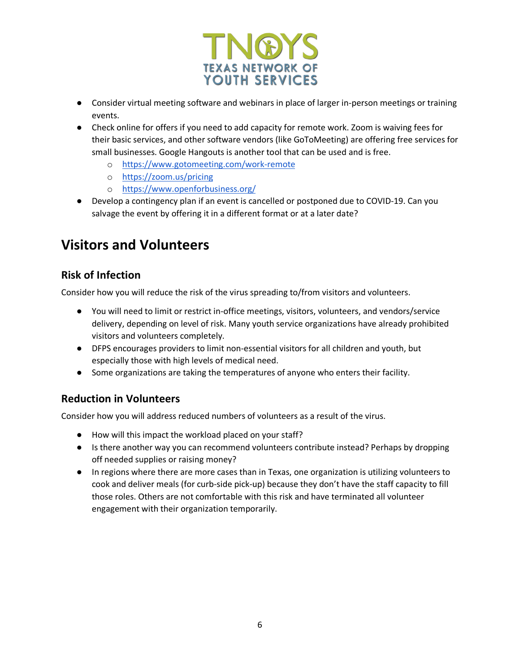

- Consider virtual meeting software and webinars in place of larger in-person meetings or training events.
- Check online for offers if you need to add capacity for remote work. Zoom is waiving fees for their basic services, and other software vendors (like GoToMeeting) are offering free services for small businesses. Google Hangouts is another tool that can be used and is free.
	- o https://www.gotomeeting.com/work-remote
	- o https://zoom.us/pricing
	- o https://www.openforbusiness.org/
- Develop a contingency plan if an event is cancelled or postponed due to COVID-19. Can you salvage the event by offering it in a different format or at a later date?

### **Visitors and Volunteers**

#### **Risk of Infection**

Consider how you will reduce the risk of the virus spreading to/from visitors and volunteers.

- You will need to limit or restrict in-office meetings, visitors, volunteers, and vendors/service delivery, depending on level of risk. Many youth service organizations have already prohibited visitors and volunteers completely.
- DFPS encourages providers to limit non-essential visitors for all children and youth, but especially those with high levels of medical need.
- Some organizations are taking the temperatures of anyone who enters their facility.

#### **Reduction in Volunteers**

Consider how you will address reduced numbers of volunteers as a result of the virus.

- How will this impact the workload placed on your staff?
- Is there another way you can recommend volunteers contribute instead? Perhaps by dropping off needed supplies or raising money?
- In regions where there are more cases than in Texas, one organization is utilizing volunteers to cook and deliver meals (for curb-side pick-up) because they don't have the staff capacity to fill those roles. Others are not comfortable with this risk and have terminated all volunteer engagement with their organization temporarily.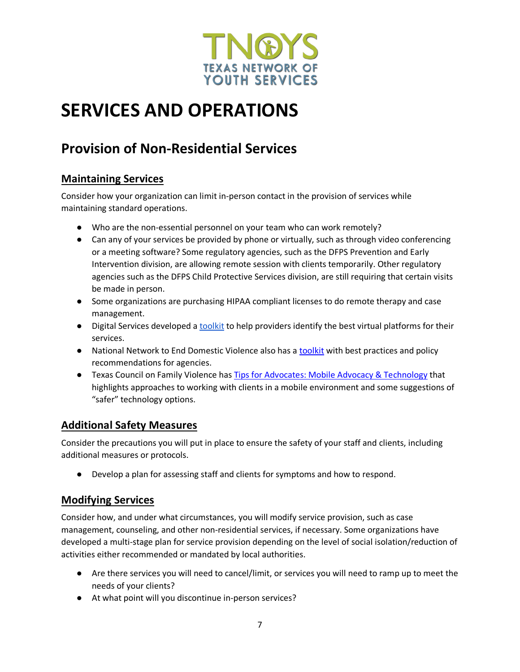

## **SERVICES AND OPERATIONS**

### **Provision of Non-Residential Services**

#### **Maintaining Services**

Consider how your organization can limit in-person contact in the provision of services while maintaining standard operations.

- Who are the non-essential personnel on your team who can work remotely?
- Can any of your services be provided by phone or virtually, such as through video conferencing or a meeting software? Some regulatory agencies, such as the DFPS Prevention and Early Intervention division, are allowing remote session with clients temporarily. Other regulatory agencies such as the DFPS Child Protective Services division, are still requiring that certain visits be made in person.
- Some organizations are purchasing HIPAA compliant licenses to do remote therapy and case management.
- Digital Services developed a toolkit to help providers identify the best virtual platforms for their services.
- National Network to End Domestic Violence also has a toolkit with best practices and policy recommendations for agencies.
- Texas Council on Family Violence has Tips for Advocates: Mobile Advocacy & Technology that highlights approaches to working with clients in a mobile environment and some suggestions of "safer" technology options.

#### **Additional Safety Measures**

Consider the precautions you will put in place to ensure the safety of your staff and clients, including additional measures or protocols.

● Develop a plan for assessing staff and clients for symptoms and how to respond.

#### **Modifying Services**

Consider how, and under what circumstances, you will modify service provision, such as case management, counseling, and other non-residential services, if necessary. Some organizations have developed a multi-stage plan for service provision depending on the level of social isolation/reduction of activities either recommended or mandated by local authorities.

- Are there services you will need to cancel/limit, or services you will need to ramp up to meet the needs of your clients?
- At what point will you discontinue in-person services?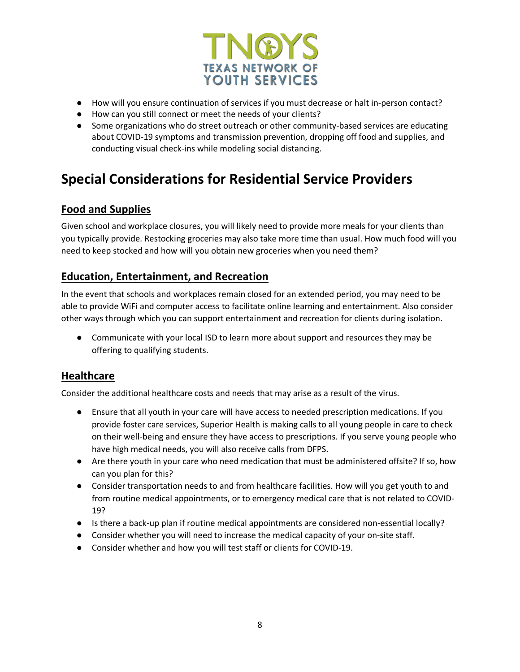

- How will you ensure continuation of services if you must decrease or halt in-person contact?
- How can you still connect or meet the needs of your clients?
- Some organizations who do street outreach or other community-based services are educating about COVID-19 symptoms and transmission prevention, dropping off food and supplies, and conducting visual check-ins while modeling social distancing.

### **Special Considerations for Residential Service Providers**

#### **Food and Supplies**

Given school and workplace closures, you will likely need to provide more meals for your clients than you typically provide. Restocking groceries may also take more time than usual. How much food will you need to keep stocked and how will you obtain new groceries when you need them?

#### **Education, Entertainment, and Recreation**

In the event that schools and workplaces remain closed for an extended period, you may need to be able to provide WiFi and computer access to facilitate online learning and entertainment. Also consider other ways through which you can support entertainment and recreation for clients during isolation.

● Communicate with your local ISD to learn more about support and resources they may be offering to qualifying students.

#### **Healthcare**

Consider the additional healthcare costs and needs that may arise as a result of the virus.

- Ensure that all youth in your care will have access to needed prescription medications. If you provide foster care services, Superior Health is making calls to all young people in care to check on their well-being and ensure they have access to prescriptions. If you serve young people who have high medical needs, you will also receive calls from DFPS.
- Are there youth in your care who need medication that must be administered offsite? If so, how can you plan for this?
- Consider transportation needs to and from healthcare facilities. How will you get youth to and from routine medical appointments, or to emergency medical care that is not related to COVID-19?
- Is there a back-up plan if routine medical appointments are considered non-essential locally?
- Consider whether you will need to increase the medical capacity of your on-site staff.
- Consider whether and how you will test staff or clients for COVID-19.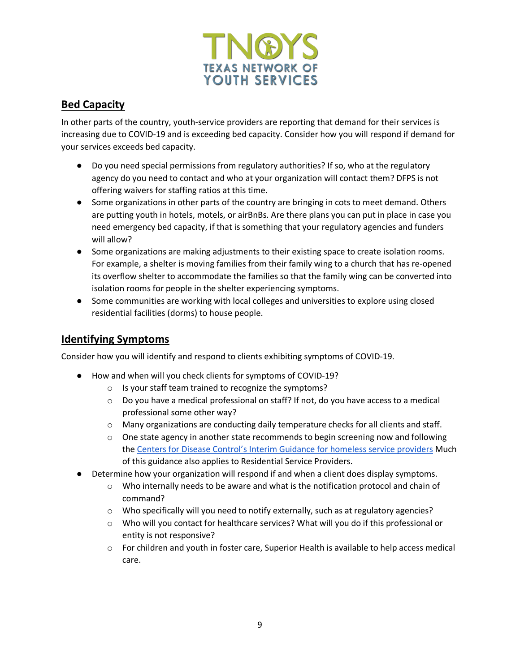

#### **Bed Capacity**

In other parts of the country, youth-service providers are reporting that demand for their services is increasing due to COVID-19 and is exceeding bed capacity. Consider how you will respond if demand for your services exceeds bed capacity.

- Do you need special permissions from regulatory authorities? If so, who at the regulatory agency do you need to contact and who at your organization will contact them? DFPS is not offering waivers for staffing ratios at this time.
- Some organizations in other parts of the country are bringing in cots to meet demand. Others are putting youth in hotels, motels, or airBnBs. Are there plans you can put in place in case you need emergency bed capacity, if that is something that your regulatory agencies and funders will allow?
- Some organizations are making adjustments to their existing space to create isolation rooms. For example, a shelter is moving families from their family wing to a church that has re-opened its overflow shelter to accommodate the families so that the family wing can be converted into isolation rooms for people in the shelter experiencing symptoms.
- Some communities are working with local colleges and universities to explore using closed residential facilities (dorms) to house people.

#### **Identifying Symptoms**

Consider how you will identify and respond to clients exhibiting symptoms of COVID-19.

- How and when will you check clients for symptoms of COVID-19?
	- o Is your staff team trained to recognize the symptoms?
	- $\circ$  Do you have a medical professional on staff? If not, do you have access to a medical professional some other way?
	- $\circ$  Many organizations are conducting daily temperature checks for all clients and staff.
	- $\circ$  One state agency in another state recommends to begin screening now and following the Centers for Disease Control's Interim Guidance for homeless service providers Much of this guidance also applies to Residential Service Providers.
- Determine how your organization will respond if and when a client does display symptoms.
	- o Who internally needs to be aware and what is the notification protocol and chain of command?
	- $\circ$  Who specifically will you need to notify externally, such as at regulatory agencies?
	- o Who will you contact for healthcare services? What will you do if this professional or entity is not responsive?
	- $\circ$  For children and youth in foster care, Superior Health is available to help access medical care.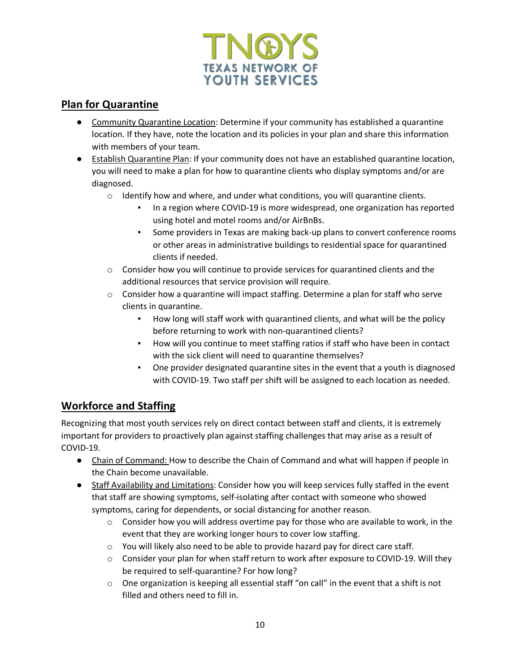

#### **Plan for Quarantine**

- Community Quarantine Location: Determine if your community has established a quarantine location. If they have, note the location and its policies in your plan and share this information with members of your team.
- Establish Quarantine Plan: If your community does not have an established quarantine location, you will need to make a plan for how to quarantine clients who display symptoms and/or are diagnosed.
	- $\circ$  Identify how and where, and under what conditions, you will quarantine clients.
		- In a region where COVID-19 is more widespread, one organization has reported using hotel and motel rooms and/or AirBnBs.
		- Some providers in Texas are making back-up plans to convert conference rooms or other areas in administrative buildings to residential space for quarantined clients if needed.
	- $\circ$  Consider how you will continue to provide services for quarantined clients and the additional resources that service provision will require.
	- $\circ$  Consider how a quarantine will impact staffing. Determine a plan for staff who serve clients in quarantine.
		- How long will staff work with quarantined clients, and what will be the policy before returning to work with non-quarantined clients?
		- How will you continue to meet staffing ratios if staff who have been in contact with the sick client will need to quarantine themselves?
		- One provider designated quarantine sites in the event that a youth is diagnosed with COVID-19. Two staff per shift will be assigned to each location as needed.

#### **Workforce and Staffing**

Recognizing that most youth services rely on direct contact between staff and clients, it is extremely important for providers to proactively plan against staffing challenges that may arise as a result of COVID-19.

- Chain of Command: How to describe the Chain of Command and what will happen if people in the Chain become unavailable.
- Staff Availability and Limitations: Consider how you will keep services fully staffed in the event that staff are showing symptoms, self-isolating after contact with someone who showed symptoms, caring for dependents, or social distancing for another reason.
	- $\circ$  Consider how you will address overtime pay for those who are available to work, in the event that they are working longer hours to cover low staffing.
	- o You will likely also need to be able to provide hazard pay for direct care staff.
	- o Consider your plan for when staff return to work after exposure to COVID-19. Will they be required to self-quarantine? For how long?
	- o One organization is keeping all essential staff "on call" in the event that a shift is not filled and others need to fill in.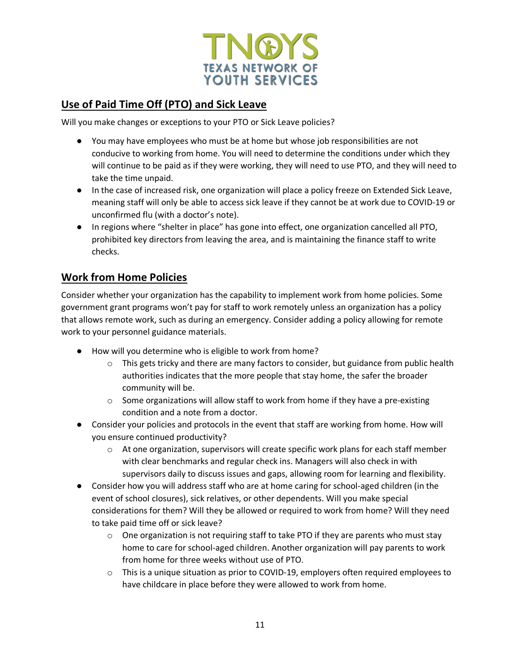

#### **Use of Paid Time Off (PTO) and Sick Leave**

Will you make changes or exceptions to your PTO or Sick Leave policies?

- You may have employees who must be at home but whose job responsibilities are not conducive to working from home. You will need to determine the conditions under which they will continue to be paid as if they were working, they will need to use PTO, and they will need to take the time unpaid.
- In the case of increased risk, one organization will place a policy freeze on Extended Sick Leave, meaning staff will only be able to access sick leave if they cannot be at work due to COVID-19 or unconfirmed flu (with a doctor's note).
- In regions where "shelter in place" has gone into effect, one organization cancelled all PTO, prohibited key directors from leaving the area, and is maintaining the finance staff to write checks.

#### **Work from Home Policies**

Consider whether your organization has the capability to implement work from home policies. Some government grant programs won't pay for staff to work remotely unless an organization has a policy that allows remote work, such as during an emergency. Consider adding a policy allowing for remote work to your personnel guidance materials.

- How will you determine who is eligible to work from home?
	- $\circ$  This gets tricky and there are many factors to consider, but guidance from public health authorities indicates that the more people that stay home, the safer the broader community will be.
	- $\circ$  Some organizations will allow staff to work from home if they have a pre-existing condition and a note from a doctor.
- Consider your policies and protocols in the event that staff are working from home. How will you ensure continued productivity?
	- $\circ$  At one organization, supervisors will create specific work plans for each staff member with clear benchmarks and regular check ins. Managers will also check in with supervisors daily to discuss issues and gaps, allowing room for learning and flexibility.
- Consider how you will address staff who are at home caring for school-aged children (in the event of school closures), sick relatives, or other dependents. Will you make special considerations for them? Will they be allowed or required to work from home? Will they need to take paid time off or sick leave?
	- $\circ$  One organization is not requiring staff to take PTO if they are parents who must stay home to care for school-aged children. Another organization will pay parents to work from home for three weeks without use of PTO.
	- $\circ$  This is a unique situation as prior to COVID-19, employers often required employees to have childcare in place before they were allowed to work from home.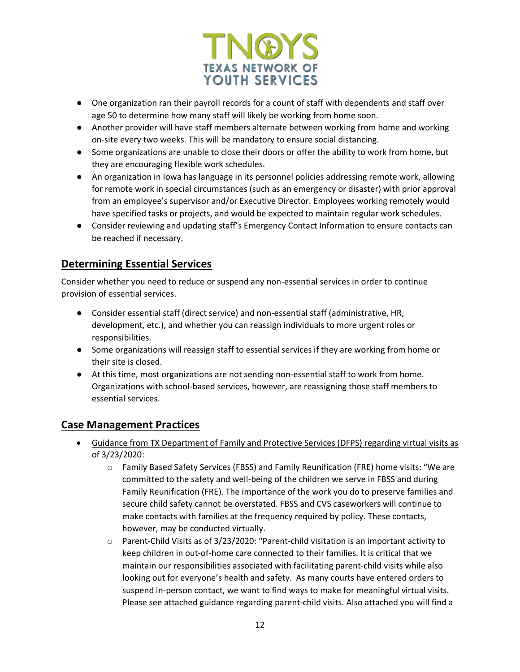

- One organization ran their payroll records for a count of staff with dependents and staff over age 50 to determine how many staff will likely be working from home soon.
- Another provider will have staff members alternate between working from home and working on-site every two weeks. This will be mandatory to ensure social distancing.
- Some organizations are unable to close their doors or offer the ability to work from home, but they are encouraging flexible work schedules.
- An organization in Iowa has language in its personnel policies addressing remote work, allowing for remote work in special circumstances (such as an emergency or disaster) with prior approval from an employee's supervisor and/or Executive Director. Employees working remotely would have specified tasks or projects, and would be expected to maintain regular work schedules.
- Consider reviewing and updating staff's Emergency Contact Information to ensure contacts can be reached if necessary.

#### **Determining Essential Services**

Consider whether you need to reduce or suspend any non-essential services in order to continue provision of essential services.

- Consider essential staff (direct service) and non-essential staff (administrative, HR, development, etc.), and whether you can reassign individuals to more urgent roles or responsibilities.
- Some organizations will reassign staff to essential services if they are working from home or their site is closed.
- At this time, most organizations are not sending non-essential staff to work from home. Organizations with school-based services, however, are reassigning those staff members to essential services.

#### **Case Management Practices**

- Guidance from TX Department of Family and Protective Services (DFPS) regarding virtual visits as of 3/23/2020:
	- o Family Based Safety Services (FBSS) and Family Reunification (FRE) home visits: "We are committed to the safety and well-being of the children we serve in FBSS and during Family Reunification (FRE). The importance of the work you do to preserve families and secure child safety cannot be overstated. FBSS and CVS caseworkers will continue to make contacts with families at the frequency required by policy. These contacts, however, may be conducted virtually.
	- o Parent-Child Visits as of 3/23/2020: "Parent-child visitation is an important activity to keep children in out-of-home care connected to their families. It is critical that we maintain our responsibilities associated with facilitating parent-child visits while also looking out for everyone's health and safety. As many courts have entered orders to suspend in-person contact, we want to find ways to make for meaningful virtual visits. Please see attached guidance regarding parent-child visits. Also attached you will find a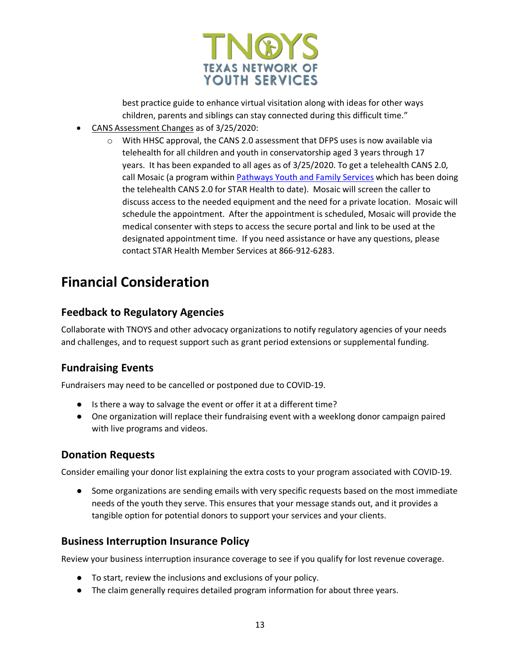

best practice guide to enhance virtual visitation along with ideas for other ways children, parents and siblings can stay connected during this difficult time."

- CANS Assessment Changes as of 3/25/2020:
	- $\circ$  With HHSC approval, the CANS 2.0 assessment that DFPS uses is now available via telehealth for all children and youth in conservatorship aged 3 years through 17 years. It has been expanded to all ages as of 3/25/2020. To get a telehealth CANS 2.0, call Mosaic (a program within Pathways Youth and Family Services which has been doing the telehealth CANS 2.0 for STAR Health to date). Mosaic will screen the caller to discuss access to the needed equipment and the need for a private location. Mosaic will schedule the appointment. After the appointment is scheduled, Mosaic will provide the medical consenter with steps to access the secure portal and link to be used at the designated appointment time. If you need assistance or have any questions, please contact STAR Health Member Services at 866-912-6283.

### **Financial Consideration**

#### **Feedback to Regulatory Agencies**

Collaborate with TNOYS and other advocacy organizations to notify regulatory agencies of your needs and challenges, and to request support such as grant period extensions or supplemental funding.

#### **Fundraising Events**

Fundraisers may need to be cancelled or postponed due to COVID-19.

- Is there a way to salvage the event or offer it at a different time?
- One organization will replace their fundraising event with a weeklong donor campaign paired with live programs and videos.

#### **Donation Requests**

Consider emailing your donor list explaining the extra costs to your program associated with COVID-19.

● Some organizations are sending emails with very specific requests based on the most immediate needs of the youth they serve. This ensures that your message stands out, and it provides a tangible option for potential donors to support your services and your clients.

#### **Business Interruption Insurance Policy**

Review your business interruption insurance coverage to see if you qualify for lost revenue coverage.

- To start, review the inclusions and exclusions of your policy.
- The claim generally requires detailed program information for about three years.